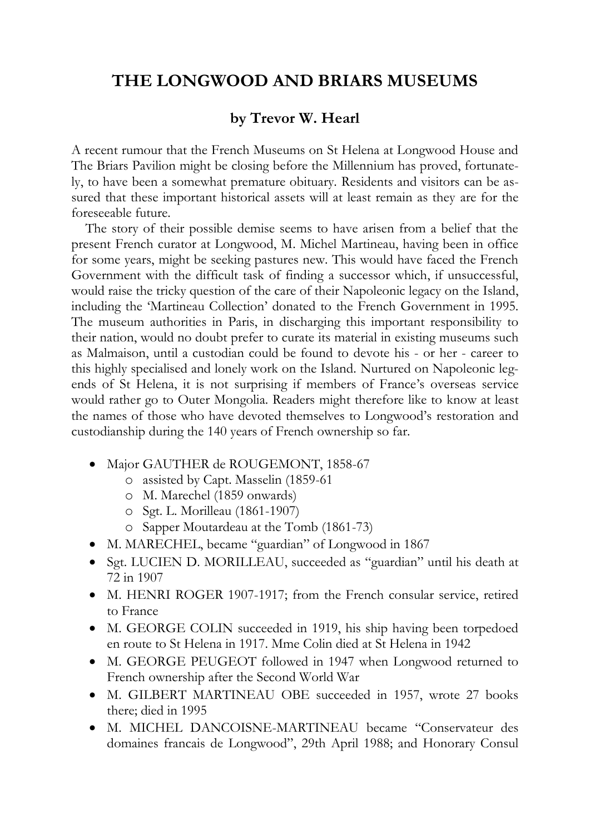## **THE LONGWOOD AND BRIARS MUSEUMS**

## **by Trevor W. Hearl**

A recent rumour that the French Museums on St Helena at Longwood House and The Briars Pavilion might be closing before the Millennium has proved, fortunately, to have been a somewhat premature obituary. Residents and visitors can be assured that these important historical assets will at least remain as they are for the foreseeable future.

The story of their possible demise seems to have arisen from a belief that the present French curator at Longwood, M. Michel Martineau, having been in office for some years, might be seeking pastures new. This would have faced the French Government with the difficult task of finding a successor which, if unsuccessful, would raise the tricky question of the care of their Napoleonic legacy on the Island, including the 'Martineau Collection' donated to the French Government in 1995. The museum authorities in Paris, in discharging this important responsibility to their nation, would no doubt prefer to curate its material in existing museums such as Malmaison, until a custodian could be found to devote his - or her - career to this highly specialised and lonely work on the Island. Nurtured on Napoleonic legends of St Helena, it is not surprising if members of France's overseas service would rather go to Outer Mongolia. Readers might therefore like to know at least the names of those who have devoted themselves to Longwood's restoration and custodianship during the 140 years of French ownership so far.

- Major GAUTHER de ROUGEMONT, 1858-67
	- o assisted by Capt. Masselin (1859-61
	- o M. Marechel (1859 onwards)
	- o Sgt. L. Morilleau (1861-1907)
	- o Sapper Moutardeau at the Tomb (1861-73)
- M. MARECHEL, became "guardian" of Longwood in 1867
- Sgt. LUCIEN D. MORILLEAU, succeeded as "guardian" until his death at 72 in 1907
- M. HENRI ROGER 1907-1917; from the French consular service, retired to France
- M. GEORGE COLIN succeeded in 1919, his ship having been torpedoed en route to St Helena in 1917. Mme Colin died at St Helena in 1942
- M. GEORGE PEUGEOT followed in 1947 when Longwood returned to French ownership after the Second World War
- M. GILBERT MARTINEAU OBE succeeded in 1957, wrote 27 books there; died in 1995
- M. MICHEL DANCOISNE-MARTINEAU became "Conservateur des domaines francais de Longwood", 29th April 1988; and Honorary Consul